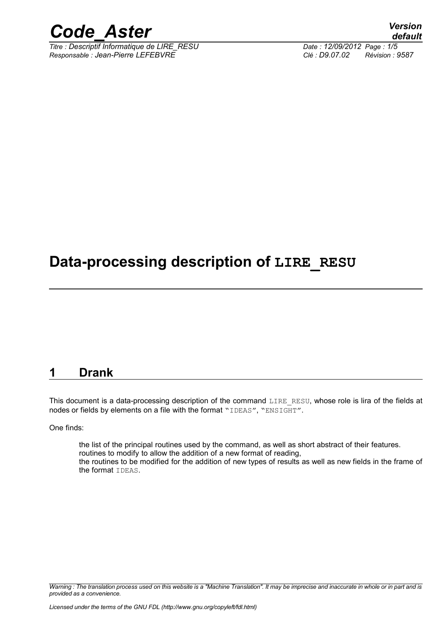

*Titre : Descriptif Informatique de LIRE\_RESU Date : 12/09/2012 Page : 1/5 Responsable : Jean-Pierre LEFEBVRE Clé : D9.07.02 Révision : 9587*

*default*

## **Data-processing description of LIRE\_RESU**

#### **1 Drank**

This document is a data-processing description of the command LIRE\_RESU, whose role is lira of the fields at nodes or fields by elements on a file with the format "IDEAS", "ENSIGHT".

One finds:

the list of the principal routines used by the command, as well as short abstract of their features. routines to modify to allow the addition of a new format of reading, the routines to be modified for the addition of new types of results as well as new fields in the frame of the format IDEAS.

*Warning : The translation process used on this website is a "Machine Translation". It may be imprecise and inaccurate in whole or in part and is provided as a convenience.*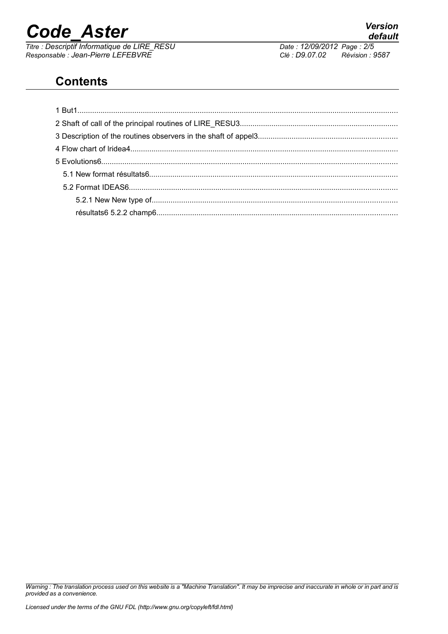*Titre : Descriptif Informatique de LIRE\_RESU Date : 12/09/2012 Page : 2/5 Responsable : Jean-Pierre LEFEBVRE Clé : D9.07.02 Révision : 9587*

*default*

## **Contents**

*Warning : The translation process used on this website is a "Machine Translation". It may be imprecise and inaccurate in whole or in part and is provided as a convenience.*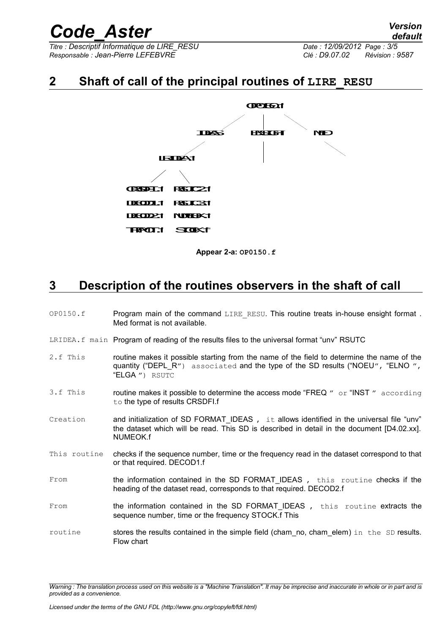*Titre : Descriptif Informatique de LIRE\_RESU Date : 12/09/2012 Page : 3/5 Responsable : Jean-Pierre LEFEBVRE Clé : D9.07.02 Révision : 9587*

### **2 Shaft of call of the principal routines of LIRE\_RESU**



**Appear 2-a: OP0150.f**

### **3 Description of the routines observers in the shaft of call**

- OP0150.f Program main of the command LIRE\_RESU. This routine treats in-house ensight format . Med format is not available.
- LRIDEA.f main Program of reading of the results files to the universal format "unv" RSUTC
- 2.f This routine makes it possible starting from the name of the field to determine the name of the quantity ("DEPL $R''$ ) associated and the type of the SD results ("NOEU", "ELNO", "ELGA ") RSUTC
- 3.f This routine makes it possible to determine the access mode "FREQ " or "INST " according to the type of results CRSDFI.f
- Creation and initialization of SD FORMAT\_IDEAS , it allows identified in the universal file "unv" the dataset which will be read. This SD is described in detail in the document [D4.02.xx]. NUMEOK.f
- This routine checks if the sequence number, time or the frequency read in the dataset correspond to that or that required. DECOD1.f
- From the information contained in the SD FORMAT IDEAS, this routine checks if the heading of the dataset read, corresponds to that required. DECOD2.f
- From the information contained in the SD FORMAT IDEAS, this routine extracts the sequence number, time or the frequency STOCK.f This
- routine stores the results contained in the simple field (cham no, cham elem) in the SD results. Flow chart

*Warning : The translation process used on this website is a "Machine Translation". It may be imprecise and inaccurate in whole or in part and is provided as a convenience.*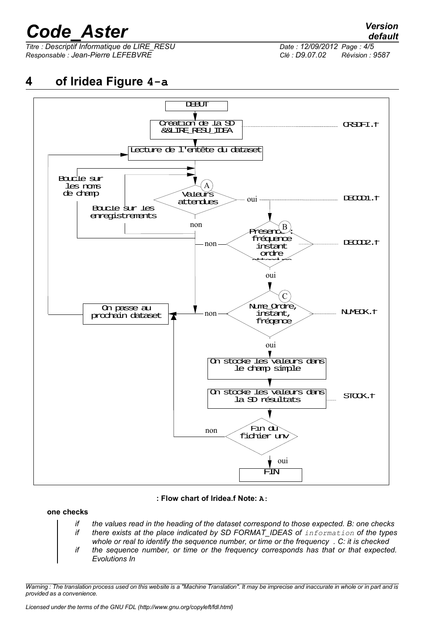*Titre : Descriptif Informatique de LIRE\_RESU Date : 12/09/2012 Page : 4/5 Responsable : Jean-Pierre LEFEBVRE Clé : D9.07.02 Révision : 9587*



#### **: Flow chart of lridea.f Note: A:**

#### **one checks**

- *if the values read in the heading of the dataset correspond to those expected. B: one checks if there exists at the place indicated by SD FORMAT\_IDEAS of information of the types*
- *whole or real to identify the sequence number, or time or the frequency . C: it is checked if the sequence number, or time or the frequency corresponds has that or that expected. Evolutions In*

*Warning : The translation process used on this website is a "Machine Translation". It may be imprecise and inaccurate in whole or in part and is provided as a convenience.*